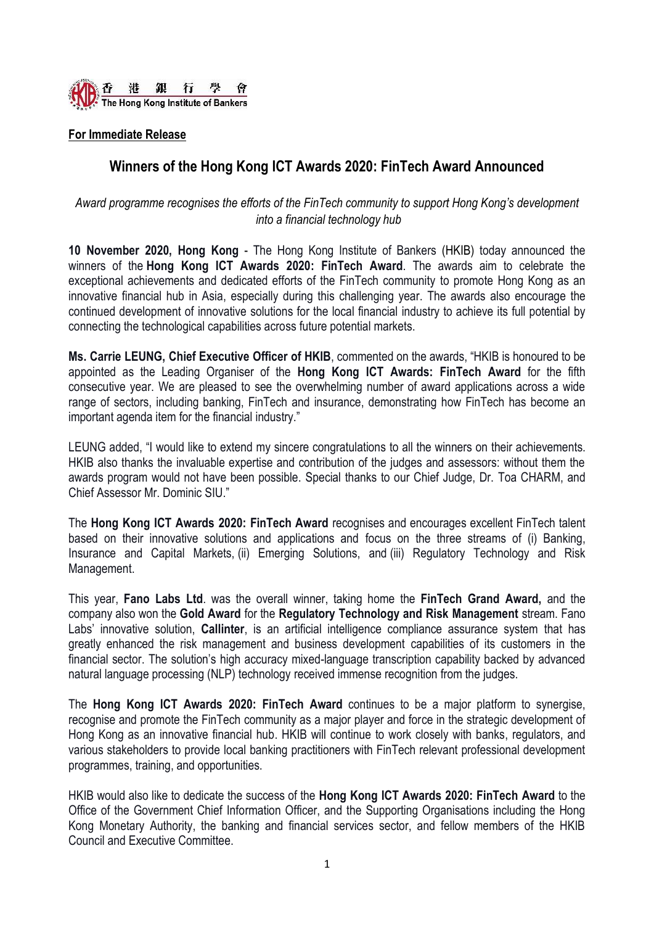

# **For Immediate Release**

# **Winners of the Hong Kong ICT Awards 2020: FinTech Award Announced**

*Award programme recognises the efforts of the FinTech community to support Hong Kong's development into a financial technology hub*

**10 November 2020, Hong Kong** - The Hong Kong Institute of Bankers (HKIB) today announced the winners of the **Hong Kong ICT Awards 2020: FinTech Award**. The awards aim to celebrate the exceptional achievements and dedicated efforts of the FinTech community to promote Hong Kong as an innovative financial hub in Asia, especially during this challenging year. The awards also encourage the continued development of innovative solutions for the local financial industry to achieve its full potential by connecting the technological capabilities across future potential markets.

**Ms. Carrie LEUNG, Chief Executive Officer of HKIB**, commented on the awards, "HKIB is honoured to be appointed as the Leading Organiser of the **Hong Kong ICT Awards: FinTech Award** for the fifth consecutive year. We are pleased to see the overwhelming number of award applications across a wide range of sectors, including banking, FinTech and insurance, demonstrating how FinTech has become an important agenda item for the financial industry."

LEUNG added, "I would like to extend my sincere congratulations to all the winners on their achievements. HKIB also thanks the invaluable expertise and contribution of the judges and assessors: without them the awards program would not have been possible. Special thanks to our Chief Judge, Dr. Toa CHARM, and Chief Assessor Mr. Dominic SIU."

The **Hong Kong ICT Awards 2020: FinTech Award** recognises and encourages excellent FinTech talent based on their innovative solutions and applications and focus on the three streams of (i) Banking, Insurance and Capital Markets, (ii) Emerging Solutions, and (iii) Regulatory Technology and Risk Management.

This year, **Fano Labs Ltd**. was the overall winner, taking home the **FinTech Grand Award,** and the company also won the **Gold Award** for the **Regulatory Technology and Risk Management** stream. Fano Labs' innovative solution, **Callinter**, is an artificial intelligence compliance assurance system that has greatly enhanced the risk management and business development capabilities of its customers in the financial sector. The solution's high accuracy mixed-language transcription capability backed by advanced natural language processing (NLP) technology received immense recognition from the judges.

The **Hong Kong ICT Awards 2020: FinTech Award** continues to be a major platform to synergise, recognise and promote the FinTech community as a major player and force in the strategic development of Hong Kong as an innovative financial hub. HKIB will continue to work closely with banks, regulators, and various stakeholders to provide local banking practitioners with FinTech relevant professional development programmes, training, and opportunities.

HKIB would also like to dedicate the success of the **Hong Kong ICT Awards 2020: FinTech Award** to the Office of the Government Chief Information Officer, and the Supporting Organisations including the Hong Kong Monetary Authority, the banking and financial services sector, and fellow members of the HKIB Council and Executive Committee.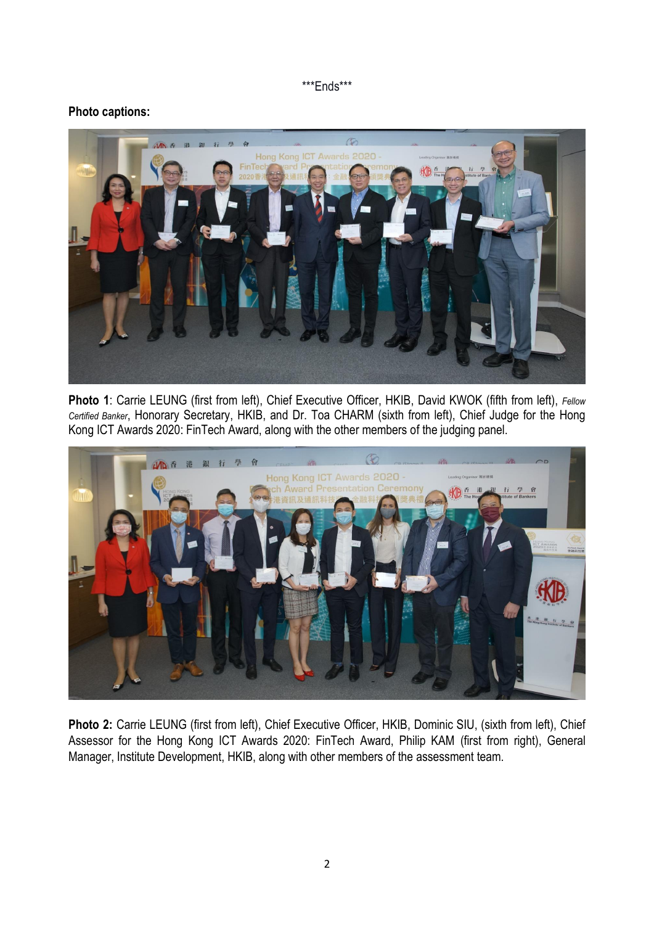#### \*\*\*Ends\*\*\*

# **Photo captions:**



**Photo 1**: Carrie LEUNG (first from left), Chief Executive Officer, HKIB, David KWOK (fifth from left), *Fellow Certified Banker*, Honorary Secretary, HKIB, and Dr. Toa CHARM (sixth from left), Chief Judge for the Hong Kong ICT Awards 2020: FinTech Award, along with the other members of the judging panel.



Photo 2: Carrie LEUNG (first from left), Chief Executive Officer, HKIB, Dominic SIU, (sixth from left), Chief Assessor for the Hong Kong ICT Awards 2020: FinTech Award, Philip KAM (first from right), General Manager, Institute Development, HKIB, along with other members of the assessment team.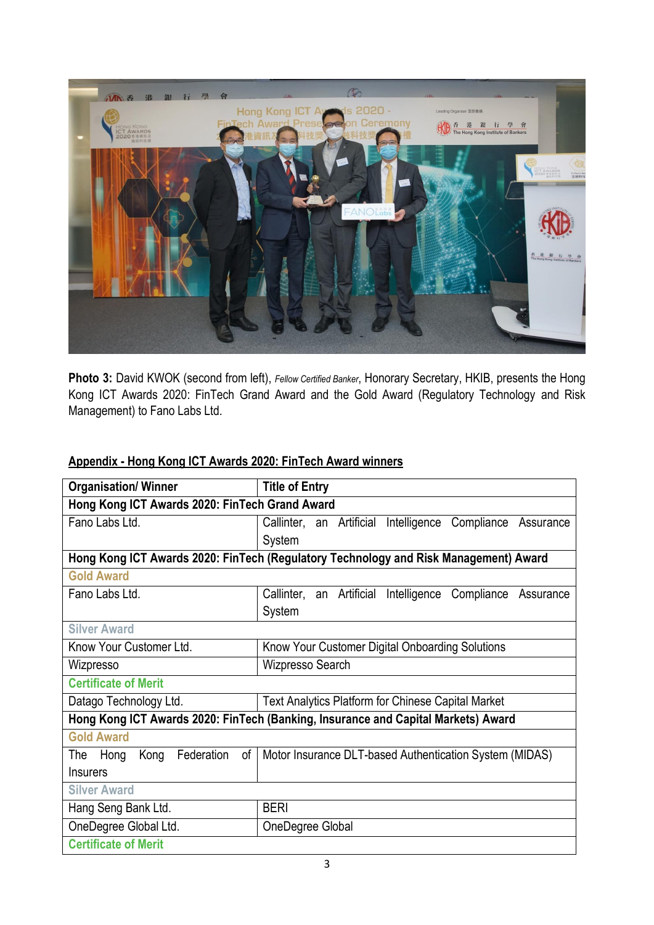

**Photo 3:** David KWOK (second from left), *Fellow Certified Banker*, Honorary Secretary, HKIB, presents the Hong Kong ICT Awards 2020: FinTech Grand Award and the Gold Award (Regulatory Technology and Risk Management) to Fano Labs Ltd.

| <b>Organisation/ Winner</b>                                                          | <b>Title of Entry</b>                                         |  |  |  |
|--------------------------------------------------------------------------------------|---------------------------------------------------------------|--|--|--|
| Hong Kong ICT Awards 2020: FinTech Grand Award                                       |                                                               |  |  |  |
| Fano Labs Ltd.                                                                       | Callinter, an Artificial Intelligence<br>Compliance Assurance |  |  |  |
|                                                                                      | System                                                        |  |  |  |
| Hong Kong ICT Awards 2020: FinTech (Regulatory Technology and Risk Management) Award |                                                               |  |  |  |
| <b>Gold Award</b>                                                                    |                                                               |  |  |  |
| Fano Labs Ltd.                                                                       | Callinter, an Artificial Intelligence<br>Compliance Assurance |  |  |  |
|                                                                                      | System                                                        |  |  |  |
| <b>Silver Award</b>                                                                  |                                                               |  |  |  |
| Know Your Customer Ltd.                                                              | Know Your Customer Digital Onboarding Solutions               |  |  |  |
| Wizpresso                                                                            | Wizpresso Search                                              |  |  |  |
| <b>Certificate of Merit</b>                                                          |                                                               |  |  |  |
| Datago Technology Ltd.                                                               | <b>Text Analytics Platform for Chinese Capital Market</b>     |  |  |  |
| Hong Kong ICT Awards 2020: FinTech (Banking, Insurance and Capital Markets) Award    |                                                               |  |  |  |
| <b>Gold Award</b>                                                                    |                                                               |  |  |  |
| Federation<br>Kong<br>of<br>The<br>Hong                                              | Motor Insurance DLT-based Authentication System (MIDAS)       |  |  |  |
| <b>Insurers</b>                                                                      |                                                               |  |  |  |
| <b>Silver Award</b>                                                                  |                                                               |  |  |  |
| Hang Seng Bank Ltd.                                                                  | <b>BERI</b>                                                   |  |  |  |
| OneDegree Global Ltd.                                                                | OneDegree Global                                              |  |  |  |
| <b>Certificate of Merit</b>                                                          |                                                               |  |  |  |

# **Appendix - Hong Kong ICT Awards 2020: FinTech Award winners**